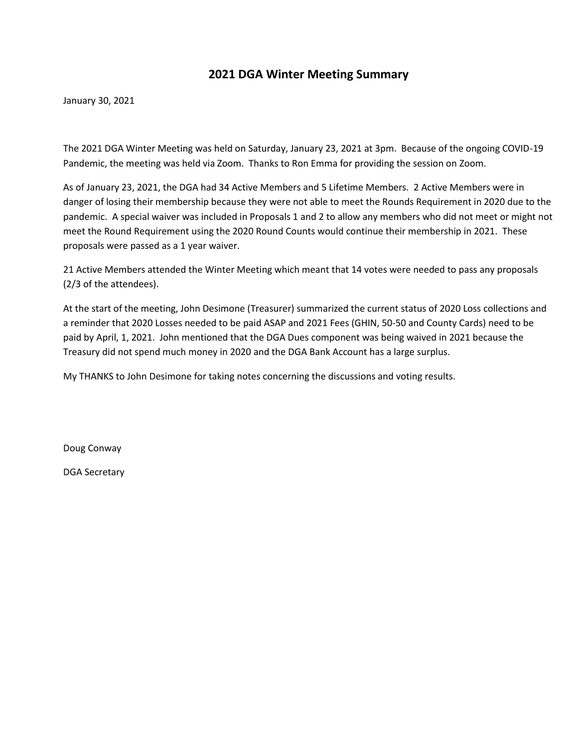# **2021 DGA Winter Meeting Summary**

January 30, 2021

The 2021 DGA Winter Meeting was held on Saturday, January 23, 2021 at 3pm. Because of the ongoing COVID-19 Pandemic, the meeting was held via Zoom. Thanks to Ron Emma for providing the session on Zoom.

As of January 23, 2021, the DGA had 34 Active Members and 5 Lifetime Members. 2 Active Members were in danger of losing their membership because they were not able to meet the Rounds Requirement in 2020 due to the pandemic. A special waiver was included in Proposals 1 and 2 to allow any members who did not meet or might not meet the Round Requirement using the 2020 Round Counts would continue their membership in 2021. These proposals were passed as a 1 year waiver.

21 Active Members attended the Winter Meeting which meant that 14 votes were needed to pass any proposals (2/3 of the attendees).

At the start of the meeting, John Desimone (Treasurer) summarized the current status of 2020 Loss collections and a reminder that 2020 Losses needed to be paid ASAP and 2021 Fees (GHIN, 50-50 and County Cards) need to be paid by April, 1, 2021. John mentioned that the DGA Dues component was being waived in 2021 because the Treasury did not spend much money in 2020 and the DGA Bank Account has a large surplus.

My THANKS to John Desimone for taking notes concerning the discussions and voting results.

Doug Conway

DGA Secretary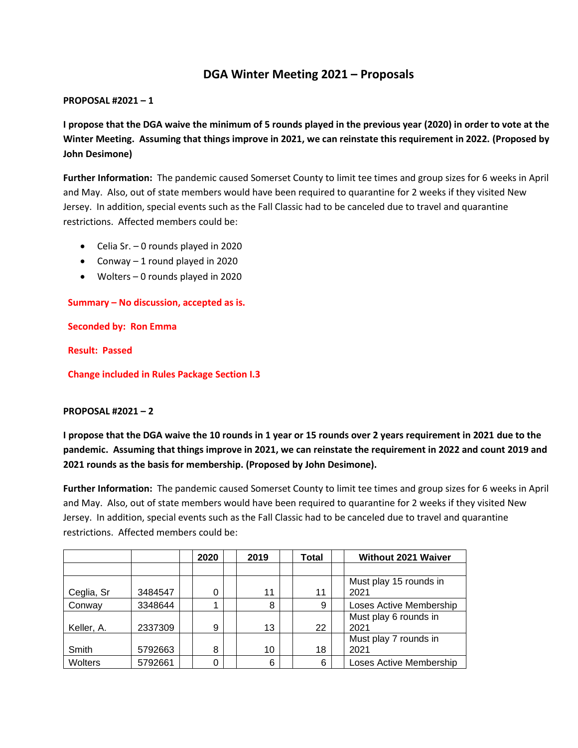# **DGA Winter Meeting 2021 – Proposals**

## **PROPOSAL #2021 – 1**

**I propose that the DGA waive the minimum of 5 rounds played in the previous year (2020) in order to vote at the Winter Meeting. Assuming that things improve in 2021, we can reinstate this requirement in 2022. (Proposed by John Desimone)**

**Further Information:** The pandemic caused Somerset County to limit tee times and group sizes for 6 weeks in April and May. Also, out of state members would have been required to quarantine for 2 weeks if they visited New Jersey. In addition, special events such as the Fall Classic had to be canceled due to travel and quarantine restrictions. Affected members could be:

- Celia Sr. 0 rounds played in 2020
- Conway 1 round played in 2020
- Wolters 0 rounds played in 2020

**Summary – No discussion, accepted as is.**

**Seconded by: Ron Emma**

**Result: Passed**

**Change included in Rules Package Section I.3**

## **PROPOSAL #2021 – 2**

**I propose that the DGA waive the 10 rounds in 1 year or 15 rounds over 2 years requirement in 2021 due to the pandemic. Assuming that things improve in 2021, we can reinstate the requirement in 2022 and count 2019 and 2021 rounds as the basis for membership. (Proposed by John Desimone).**

**Further Information:** The pandemic caused Somerset County to limit tee times and group sizes for 6 weeks in April and May. Also, out of state members would have been required to quarantine for 2 weeks if they visited New Jersey. In addition, special events such as the Fall Classic had to be canceled due to travel and quarantine restrictions. Affected members could be:

|            |         | 2020 | 2019 | Total | <b>Without 2021 Waiver</b> |
|------------|---------|------|------|-------|----------------------------|
|            |         |      |      |       |                            |
|            |         |      |      |       | Must play 15 rounds in     |
| Ceglia, Sr | 3484547 | 0    | 11   | 11    | 2021                       |
| Conway     | 3348644 |      | 8    | 9     | Loses Active Membership    |
|            |         |      |      |       | Must play 6 rounds in      |
| Keller, A. | 2337309 | 9    | 13   | 22    | 2021                       |
|            |         |      |      |       | Must play 7 rounds in      |
| Smith      | 5792663 | 8    | 10   | 18    | 2021                       |
| Wolters    | 5792661 | 0    | 6    | 6     | Loses Active Membership    |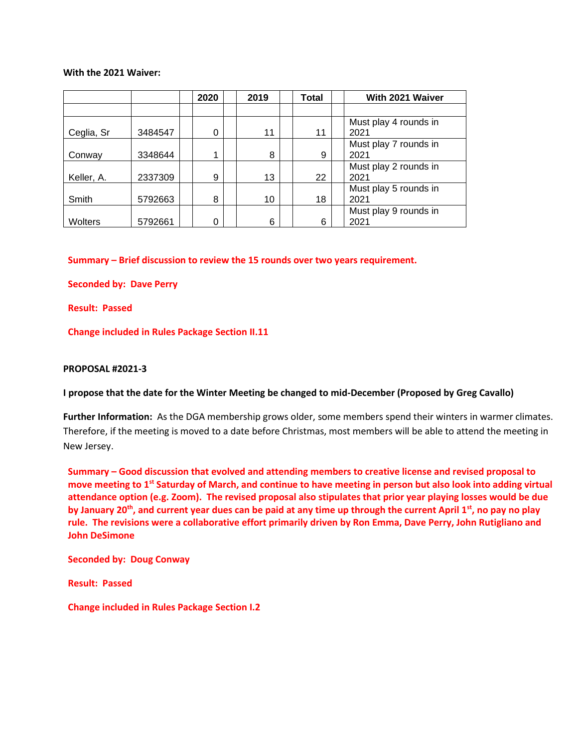### **With the 2021 Waiver:**

|            |         | 2020     | 2019 | Total | With 2021 Waiver              |
|------------|---------|----------|------|-------|-------------------------------|
|            |         |          |      |       |                               |
| Ceglia, Sr | 3484547 | $\Omega$ | 11   | 11    | Must play 4 rounds in<br>2021 |
| Conway     | 3348644 | 1        | 8    | 9     | Must play 7 rounds in<br>2021 |
| Keller, A. | 2337309 | 9        | 13   | 22    | Must play 2 rounds in<br>2021 |
| Smith      | 5792663 | 8        | 10   | 18    | Must play 5 rounds in<br>2021 |
| Wolters    | 5792661 | 0        | 6    | 6     | Must play 9 rounds in<br>2021 |

**Summary – Brief discussion to review the 15 rounds over two years requirement.** 

**Seconded by: Dave Perry**

**Result: Passed**

**Change included in Rules Package Section II.11**

### **PROPOSAL #2021-3**

**I propose that the date for the Winter Meeting be changed to mid-December (Proposed by Greg Cavallo)**

**Further Information:** As the DGA membership grows older, some members spend their winters in warmer climates. Therefore, if the meeting is moved to a date before Christmas, most members will be able to attend the meeting in New Jersey.

**Summary – Good discussion that evolved and attending members to creative license and revised proposal to move meeting to 1st Saturday of March, and continue to have meeting in person but also look into adding virtual attendance option (e.g. Zoom). The revised proposal also stipulates that prior year playing losses would be due by January 20th, and current year dues can be paid at any time up through the current April 1st, no pay no play rule. The revisions were a collaborative effort primarily driven by Ron Emma, Dave Perry, John Rutigliano and John DeSimone**

**Seconded by: Doug Conway**

**Result: Passed**

**Change included in Rules Package Section I.2**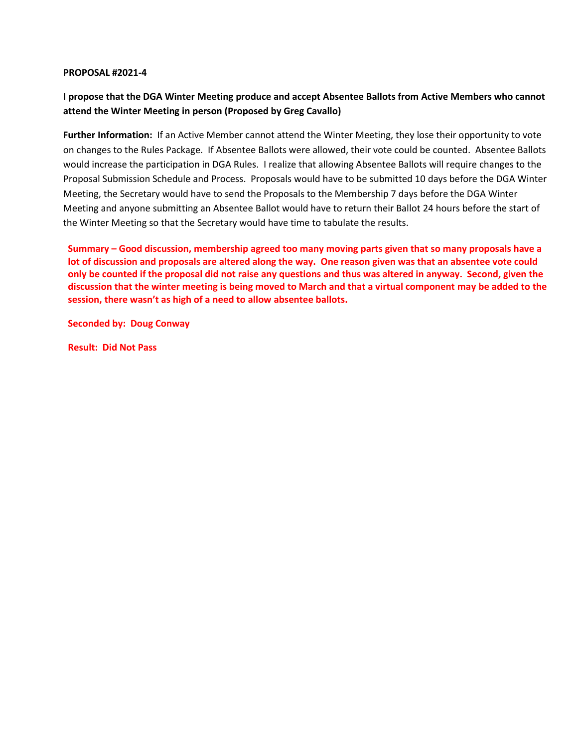## **I propose that the DGA Winter Meeting produce and accept Absentee Ballots from Active Members who cannot attend the Winter Meeting in person (Proposed by Greg Cavallo)**

**Further Information:** If an Active Member cannot attend the Winter Meeting, they lose their opportunity to vote on changes to the Rules Package. If Absentee Ballots were allowed, their vote could be counted. Absentee Ballots would increase the participation in DGA Rules. I realize that allowing Absentee Ballots will require changes to the Proposal Submission Schedule and Process. Proposals would have to be submitted 10 days before the DGA Winter Meeting, the Secretary would have to send the Proposals to the Membership 7 days before the DGA Winter Meeting and anyone submitting an Absentee Ballot would have to return their Ballot 24 hours before the start of the Winter Meeting so that the Secretary would have time to tabulate the results.

**Summary – Good discussion, membership agreed too many moving parts given that so many proposals have a lot of discussion and proposals are altered along the way. One reason given was that an absentee vote could only be counted if the proposal did not raise any questions and thus was altered in anyway. Second, given the discussion that the winter meeting is being moved to March and that a virtual component may be added to the session, there wasn't as high of a need to allow absentee ballots.**

**Seconded by: Doug Conway**

**Result: Did Not Pass**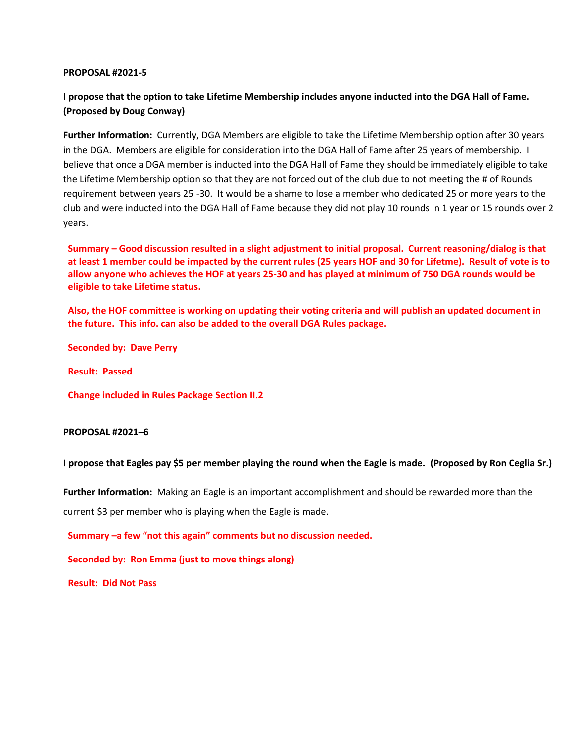## **I propose that the option to take Lifetime Membership includes anyone inducted into the DGA Hall of Fame. (Proposed by Doug Conway)**

**Further Information:** Currently, DGA Members are eligible to take the Lifetime Membership option after 30 years in the DGA. Members are eligible for consideration into the DGA Hall of Fame after 25 years of membership. I believe that once a DGA member is inducted into the DGA Hall of Fame they should be immediately eligible to take the Lifetime Membership option so that they are not forced out of the club due to not meeting the # of Rounds requirement between years 25 -30. It would be a shame to lose a member who dedicated 25 or more years to the club and were inducted into the DGA Hall of Fame because they did not play 10 rounds in 1 year or 15 rounds over 2 years.

**Summary – Good discussion resulted in a slight adjustment to initial proposal. Current reasoning/dialog is that at least 1 member could be impacted by the current rules (25 years HOF and 30 for Lifetme). Result of vote is to allow anyone who achieves the HOF at years 25-30 and has played at minimum of 750 DGA rounds would be eligible to take Lifetime status.**

**Also, the HOF committee is working on updating their voting criteria and will publish an updated document in the future. This info. can also be added to the overall DGA Rules package.**

**Seconded by: Dave Perry**

**Result: Passed**

**Change included in Rules Package Section II.2**

#### **PROPOSAL #2021–6**

**I propose that Eagles pay \$5 per member playing the round when the Eagle is made. (Proposed by Ron Ceglia Sr.)**

**Further Information:** Making an Eagle is an important accomplishment and should be rewarded more than the

current \$3 per member who is playing when the Eagle is made.

**Summary –a few "not this again" comments but no discussion needed.**

**Seconded by: Ron Emma (just to move things along)**

**Result: Did Not Pass**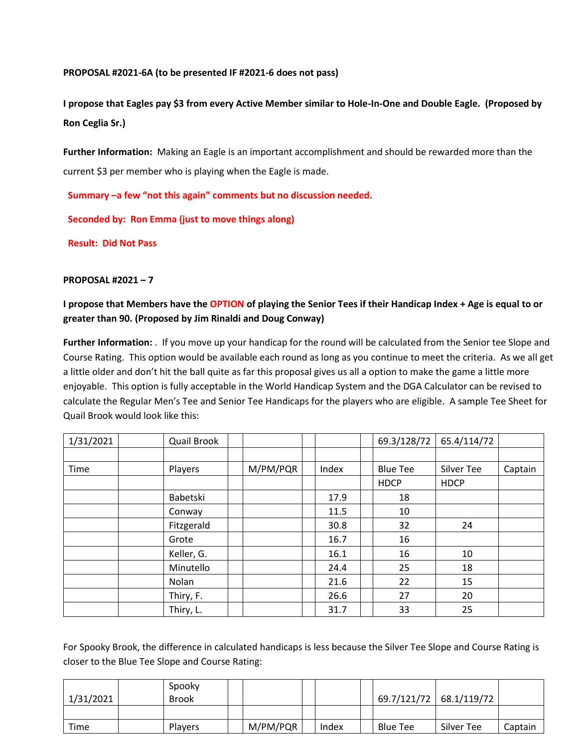## **PROPOSAL #2021-6A (to be presented IF #2021-6 does not pass)**

**I propose that Eagles pay \$3 from every Active Member similar to Hole-In-One and Double Eagle. (Proposed by Ron Ceglia Sr.)**

**Further Information:** Making an Eagle is an important accomplishment and should be rewarded more than the current \$3 per member who is playing when the Eagle is made.

**Summary –a few "not this again" comments but no discussion needed.**

**Seconded by: Ron Emma (just to move things along)**

**Result: Did Not Pass**

## **PROPOSAL #2021 – 7**

## **I propose that Members have the OPTION of playing the Senior Tees if their Handicap Index + Age is equal to or greater than 90. (Proposed by Jim Rinaldi and Doug Conway)**

**Further Information:** . If you move up your handicap for the round will be calculated from the Senior tee Slope and Course Rating. This option would be available each round as long as you continue to meet the criteria. As we all get a little older and don't hit the ball quite as far this proposal gives us all a option to make the game a little more enjoyable. This option is fully acceptable in the World Handicap System and the DGA Calculator can be revised to calculate the Regular Men's Tee and Senior Tee Handicaps for the players who are eligible. A sample Tee Sheet for Quail Brook would look like this:

| 1/31/2021 | Quail Brook |          |       | 69.3/128/72     | 65.4/114/72 |         |
|-----------|-------------|----------|-------|-----------------|-------------|---------|
|           |             |          |       |                 |             |         |
| Time      | Players     | M/PM/PQR | Index | <b>Blue Tee</b> | Silver Tee  | Captain |
|           |             |          |       | <b>HDCP</b>     | <b>HDCP</b> |         |
|           | Babetski    |          | 17.9  | 18              |             |         |
|           | Conway      |          | 11.5  | 10              |             |         |
|           | Fitzgerald  |          | 30.8  | 32              | 24          |         |
|           | Grote       |          | 16.7  | 16              |             |         |
|           | Keller, G.  |          | 16.1  | 16              | 10          |         |
|           | Minutello   |          | 24.4  | 25              | 18          |         |
|           | Nolan       |          | 21.6  | 22              | 15          |         |
|           | Thiry, F.   |          | 26.6  | 27              | 20          |         |
|           | Thiry, L.   |          | 31.7  | 33              | 25          |         |

For Spooky Brook, the difference in calculated handicaps is less because the Silver Tee Slope and Course Rating is closer to the Blue Tee Slope and Course Rating:

| 1/31/2021 | Spooky<br><b>Brook</b> |          |       | 69.7/121/72     | 68.1/119/72 |         |
|-----------|------------------------|----------|-------|-----------------|-------------|---------|
|           |                        |          |       |                 |             |         |
| Time      | <b>Players</b>         | M/PM/PQR | Index | <b>Blue Tee</b> | Silver Tee  | Captain |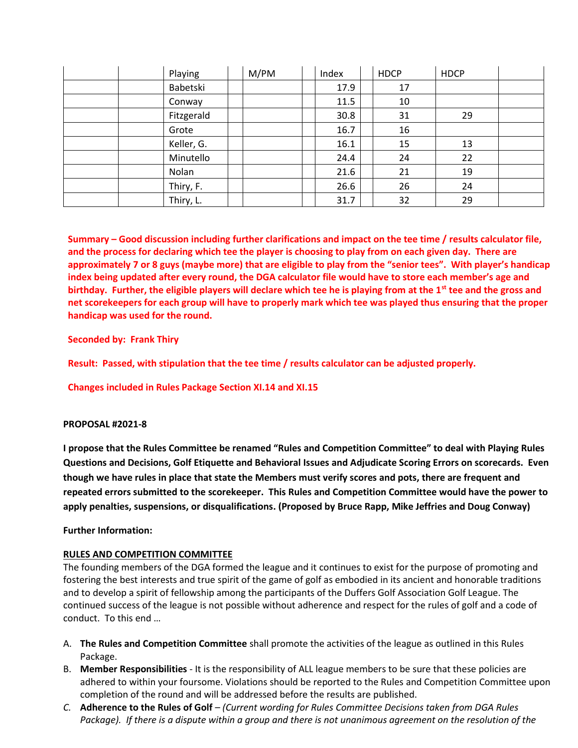| Playing    | M/PM | Index | <b>HDCP</b> | <b>HDCP</b> |  |
|------------|------|-------|-------------|-------------|--|
| Babetski   |      | 17.9  | 17          |             |  |
| Conway     |      | 11.5  | 10          |             |  |
| Fitzgerald |      | 30.8  | 31          | 29          |  |
| Grote      |      | 16.7  | 16          |             |  |
| Keller, G. |      | 16.1  | 15          | 13          |  |
| Minutello  |      | 24.4  | 24          | 22          |  |
| Nolan      |      | 21.6  | 21          | 19          |  |
| Thiry, F.  |      | 26.6  | 26          | 24          |  |
| Thiry, L.  |      | 31.7  | 32          | 29          |  |

**Summary – Good discussion including further clarifications and impact on the tee time / results calculator file, and the process for declaring which tee the player is choosing to play from on each given day. There are approximately 7 or 8 guys (maybe more) that are eligible to play from the "senior tees". With player's handicap index being updated after every round, the DGA calculator file would have to store each member's age and birthday. Further, the eligible players will declare which tee he is playing from at the 1st tee and the gross and net scorekeepers for each group will have to properly mark which tee was played thus ensuring that the proper handicap was used for the round.**

## **Seconded by: Frank Thiry**

**Result: Passed, with stipulation that the tee time / results calculator can be adjusted properly.**

**Changes included in Rules Package Section XI.14 and XI.15**

## **PROPOSAL #2021-8**

**I propose that the Rules Committee be renamed "Rules and Competition Committee" to deal with Playing Rules Questions and Decisions, Golf Etiquette and Behavioral Issues and Adjudicate Scoring Errors on scorecards. Even though we have rules in place that state the Members must verify scores and pots, there are frequent and repeated errors submitted to the scorekeeper. This Rules and Competition Committee would have the power to apply penalties, suspensions, or disqualifications. (Proposed by Bruce Rapp, Mike Jeffries and Doug Conway)**

## **Further Information:**

## **RULES AND COMPETITION COMMITTEE**

The founding members of the DGA formed the league and it continues to exist for the purpose of promoting and fostering the best interests and true spirit of the game of golf as embodied in its ancient and honorable traditions and to develop a spirit of fellowship among the participants of the Duffers Golf Association Golf League. The continued success of the league is not possible without adherence and respect for the rules of golf and a code of conduct. To this end …

- A. **The Rules and Competition Committee** shall promote the activities of the league as outlined in this Rules Package.
- B. **Member Responsibilities** It is the responsibility of ALL league members to be sure that these policies are adhered to within your foursome. Violations should be reported to the Rules and Competition Committee upon completion of the round and will be addressed before the results are published.
- *C.* **Adherence to the Rules of Golf** *– (Current wording for Rules Committee Decisions taken from DGA Rules Package).* If there is a dispute within a group and there is not unanimous agreement on the resolution of the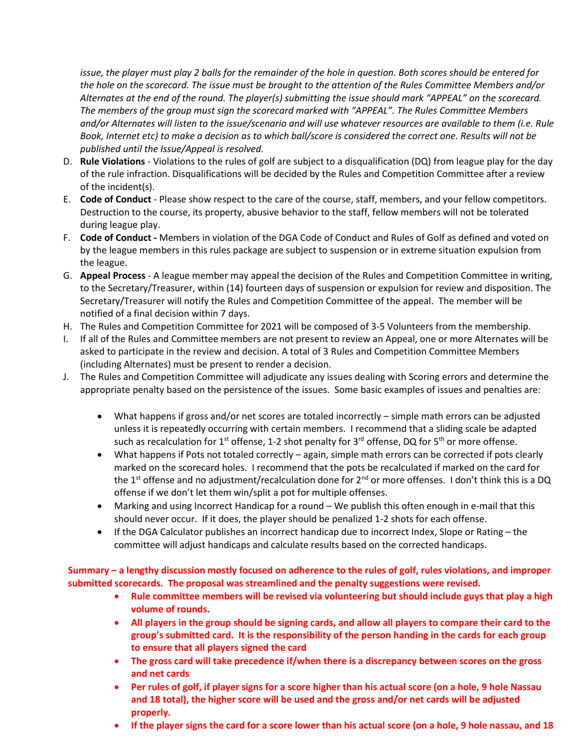*issue, the player must play 2 balls for the remainder of the hole in question. Both scores should be entered for the hole on the scorecard. The issue must be brought to the attention of the Rules Committee Members and/or Alternates at the end of the round. The player(s) submitting the issue should mark "APPEAL" on the scorecard. The members of the group must sign the scorecard marked with "APPEAL". The Rules Committee Members and/or Alternates will listen to the issue/scenario and will use whatever resources are available to them (i.e. Rule Book, Internet etc) to make a decision as to which ball/score is considered the correct one. Results will not be published until the Issue/Appeal is resolved.* 

- D. **Rule Violations** Violations to the rules of golf are subject to a disqualification (DQ) from league play for the day of the rule infraction. Disqualifications will be decided by the Rules and Competition Committee after a review of the incident(s).
- E. **Code of Conduct** Please show respect to the care of the course, staff, members, and your fellow competitors. Destruction to the course, its property, abusive behavior to the staff, fellow members will not be tolerated during league play.
- F. **Code of Conduct -** Members in violation of the DGA Code of Conduct and Rules of Golf as defined and voted on by the league members in this rules package are subject to suspension or in extreme situation expulsion from the league.
- G. **Appeal Process** A league member may appeal the decision of the Rules and Competition Committee in writing, to the Secretary/Treasurer, within (14) fourteen days of suspension or expulsion for review and disposition. The Secretary/Treasurer will notify the Rules and Competition Committee of the appeal. The member will be notified of a final decision within 7 days.
- H. The Rules and Competition Committee for 2021 will be composed of 3-5 Volunteers from the membership.
- I. If all of the Rules and Committee members are not present to review an Appeal, one or more Alternates will be asked to participate in the review and decision. A total of 3 Rules and Competition Committee Members (including Alternates) must be present to render a decision.
- J. The Rules and Competition Committee will adjudicate any issues dealing with Scoring errors and determine the appropriate penalty based on the persistence of the issues. Some basic examples of issues and penalties are:
	- What happens if gross and/or net scores are totaled incorrectly simple math errors can be adjusted unless it is repeatedly occurring with certain members. I recommend that a sliding scale be adapted such as recalculation for 1<sup>st</sup> offense, 1-2 shot penalty for 3<sup>rd</sup> offense, DQ for 5<sup>th</sup> or more offense.
	- What happens if Pots not totaled correctly again, simple math errors can be corrected if pots clearly marked on the scorecard holes. I recommend that the pots be recalculated if marked on the card for the 1<sup>st</sup> offense and no adjustment/recalculation done for 2<sup>nd</sup> or more offenses. I don't think this is a DQ offense if we don't let them win/split a pot for multiple offenses.
	- Marking and using Incorrect Handicap for a round We publish this often enough in e-mail that this should never occur. If it does, the player should be penalized 1-2 shots for each offense.
	- If the DGA Calculator publishes an incorrect handicap due to incorrect Index, Slope or Rating the committee will adjust handicaps and calculate results based on the corrected handicaps.

**Summary – a lengthy discussion mostly focused on adherence to the rules of golf, rules violations, and improper submitted scorecards. The proposal was streamlined and the penalty suggestions were revised.**

- **Rule committee members will be revised via volunteering but should include guys that play a high volume of rounds.**
- **All players in the group should be signing cards, and allow all players to compare their card to the group's submitted card. It is the responsibility of the person handing in the cards for each group to ensure that all players signed the card**
- **The gross card will take precedence if/when there is a discrepancy between scores on the gross and net cards**
- **Per rules of golf, if player signs for a score higher than his actual score (on a hole, 9 hole Nassau and 18 total), the higher score will be used and the gross and/or net cards will be adjusted properly.**
- **If the player signs the card for a score lower than his actual score (on a hole, 9 hole nassau, and 18**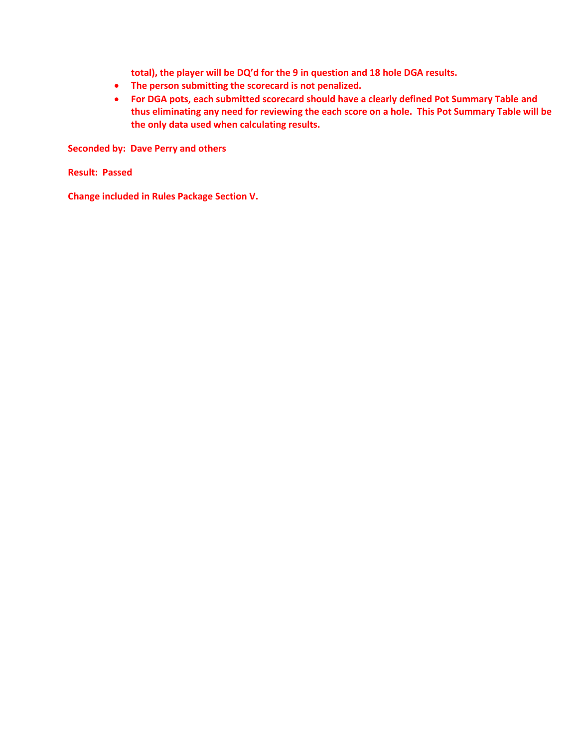**total), the player will be DQ'd for the 9 in question and 18 hole DGA results.**

- **The person submitting the scorecard is not penalized.**
- **For DGA pots, each submitted scorecard should have a clearly defined Pot Summary Table and thus eliminating any need for reviewing the each score on a hole. This Pot Summary Table will be the only data used when calculating results.**

**Seconded by: Dave Perry and others**

**Result: Passed**

**Change included in Rules Package Section V.**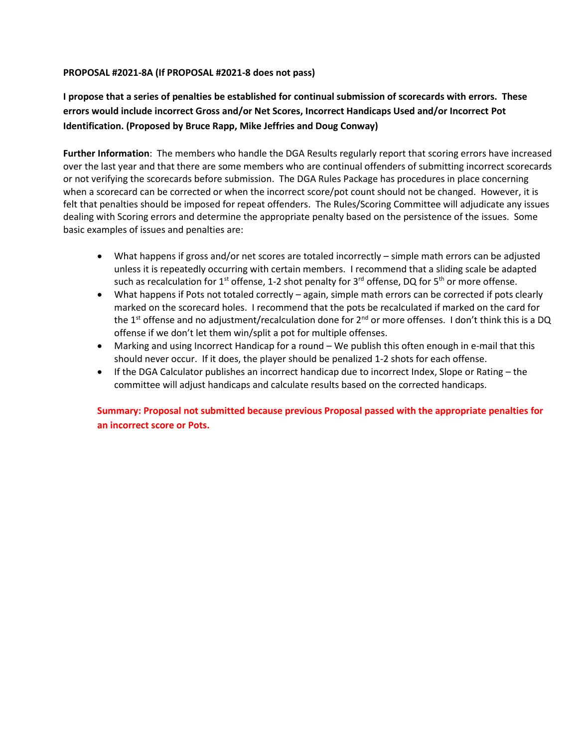## **PROPOSAL #2021-8A (If PROPOSAL #2021-8 does not pass)**

**I propose that a series of penalties be established for continual submission of scorecards with errors. These errors would include incorrect Gross and/or Net Scores, Incorrect Handicaps Used and/or Incorrect Pot Identification. (Proposed by Bruce Rapp, Mike Jeffries and Doug Conway)**

**Further Information**: The members who handle the DGA Results regularly report that scoring errors have increased over the last year and that there are some members who are continual offenders of submitting incorrect scorecards or not verifying the scorecards before submission. The DGA Rules Package has procedures in place concerning when a scorecard can be corrected or when the incorrect score/pot count should not be changed. However, it is felt that penalties should be imposed for repeat offenders.The Rules/Scoring Committee will adjudicate any issues dealing with Scoring errors and determine the appropriate penalty based on the persistence of the issues. Some basic examples of issues and penalties are:

- What happens if gross and/or net scores are totaled incorrectly simple math errors can be adjusted unless it is repeatedly occurring with certain members. I recommend that a sliding scale be adapted such as recalculation for 1<sup>st</sup> offense, 1-2 shot penalty for 3<sup>rd</sup> offense, DQ for 5<sup>th</sup> or more offense.
- What happens if Pots not totaled correctly again, simple math errors can be corrected if pots clearly marked on the scorecard holes. I recommend that the pots be recalculated if marked on the card for the 1<sup>st</sup> offense and no adjustment/recalculation done for  $2^{nd}$  or more offenses. I don't think this is a DQ offense if we don't let them win/split a pot for multiple offenses.
- Marking and using Incorrect Handicap for a round We publish this often enough in e-mail that this should never occur. If it does, the player should be penalized 1-2 shots for each offense.
- If the DGA Calculator publishes an incorrect handicap due to incorrect Index, Slope or Rating the committee will adjust handicaps and calculate results based on the corrected handicaps.

**Summary: Proposal not submitted because previous Proposal passed with the appropriate penalties for an incorrect score or Pots.**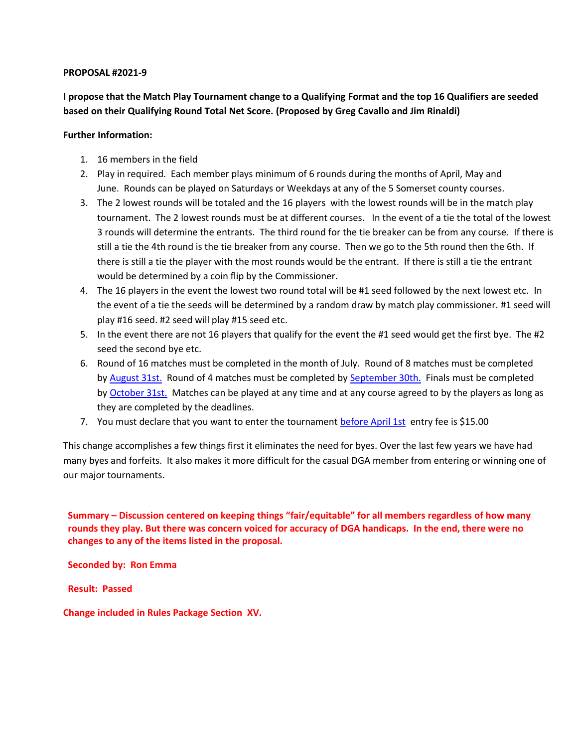**I propose that the Match Play Tournament change to a Qualifying Format and the top 16 Qualifiers are seeded based on their Qualifying Round Total Net Score. (Proposed by Greg Cavallo and Jim Rinaldi)**

## **Further Information:**

- 1. 16 members in the field
- 2. Play in required. Each member plays minimum of 6 rounds during the months of April, May and June. Rounds can be played on Saturdays or Weekdays at any of the 5 Somerset county courses.
- 3. The 2 lowest rounds will be totaled and the 16 players with the lowest rounds will be in the match play tournament. The 2 lowest rounds must be at different courses. In the event of a tie the total of the lowest 3 rounds will determine the entrants. The third round for the tie breaker can be from any course. If there is still a tie the 4th round is the tie breaker from any course. Then we go to the 5th round then the 6th. If there is still a tie the player with the most rounds would be the entrant. If there is still a tie the entrant would be determined by a coin flip by the Commissioner.
- 4. The 16 players in the event the lowest two round total will be #1 seed followed by the next lowest etc. In the event of a tie the seeds will be determined by a random draw by match play commissioner. #1 seed will play #16 seed. #2 seed will play #15 seed etc.
- 5. In the event there are not 16 players that qualify for the event the #1 seed would get the first bye. The #2 seed the second bye etc.
- 6. Round of 16 matches must be completed in the month of July. Round of 8 matches must be completed by [August 31st.](x-apple-data-detectors://0/) Round of 4 matches must be completed by [September 30th.](x-apple-data-detectors://1/) Finals must be completed by [October 31st.](x-apple-data-detectors://2/) Matches can be played at any time and at any course agreed to by the players as long as they are completed by the deadlines.
- 7. You must declare that you want to enter the tournament [before April 1st](x-apple-data-detectors://3/) entry fee is \$15.00

This change accomplishes a few things first it eliminates the need for byes. Over the last few years we have had many byes and forfeits. It also makes it more difficult for the casual DGA member from entering or winning one of our major tournaments.

**Summary – Discussion centered on keeping things "fair/equitable" for all members regardless of how many rounds they play. But there was concern voiced for accuracy of DGA handicaps. In the end, there were no changes to any of the items listed in the proposal.**

**Seconded by: Ron Emma**

**Result: Passed**

**Change included in Rules Package Section XV.**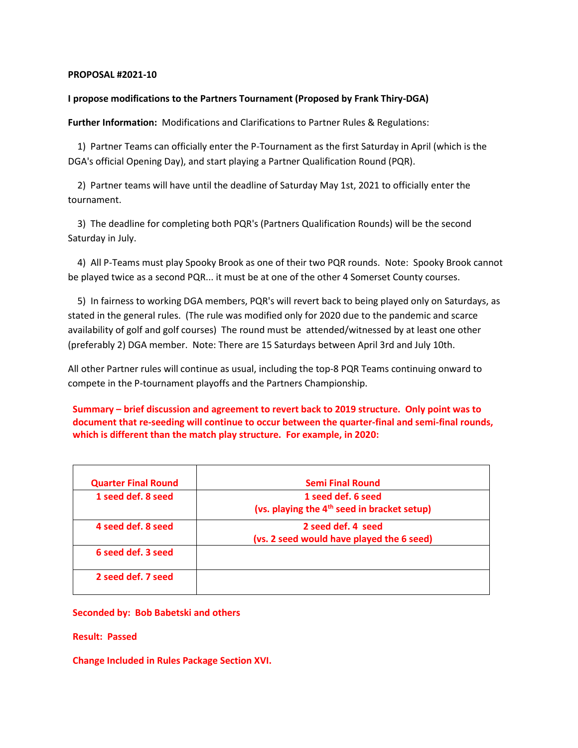### **I propose modifications to the Partners Tournament (Proposed by Frank Thiry-DGA)**

**Further Information:** Modifications and Clarifications to Partner Rules & Regulations:

1) Partner Teams can officially enter the P-Tournament as the first Saturday in April (which is the DGA's official Opening Day), and start playing a Partner Qualification Round (PQR).

2) Partner teams will have until the deadline of Saturday May 1st, 2021 to officially enter the tournament.

3) The deadline for completing both PQR's (Partners Qualification Rounds) will be the second Saturday in July.

4) All P-Teams must play Spooky Brook as one of their two PQR rounds. Note: Spooky Brook cannot be played twice as a second PQR... it must be at one of the other 4 Somerset County courses.

5) In fairness to working DGA members, PQR's will revert back to being played only on Saturdays, as stated in the general rules. (The rule was modified only for 2020 due to the pandemic and scarce availability of golf and golf courses) The round must be attended/witnessed by at least one other (preferably 2) DGA member. Note: There are 15 Saturdays between April 3rd and July 10th.

All other Partner rules will continue as usual, including the top-8 PQR Teams continuing onward to compete in the P-tournament playoffs and the Partners Championship.

**Summary – brief discussion and agreement to revert back to 2019 structure. Only point was to document that re-seeding will continue to occur between the quarter-final and semi-final rounds, which is different than the match play structure. For example, in 2020:**

| <b>Quarter Final Round</b> | <b>Semi Final Round</b>                                 |
|----------------------------|---------------------------------------------------------|
| 1 seed def. 8 seed         | 1 seed def. 6 seed                                      |
|                            | (vs. playing the 4 <sup>th</sup> seed in bracket setup) |
| 4 seed def. 8 seed         | 2 seed def. 4 seed                                      |
|                            | (vs. 2 seed would have played the 6 seed)               |
| 6 seed def. 3 seed         |                                                         |
| 2 seed def. 7 seed         |                                                         |

**Seconded by: Bob Babetski and others**

**Result: Passed**

**Change Included in Rules Package Section XVI.**